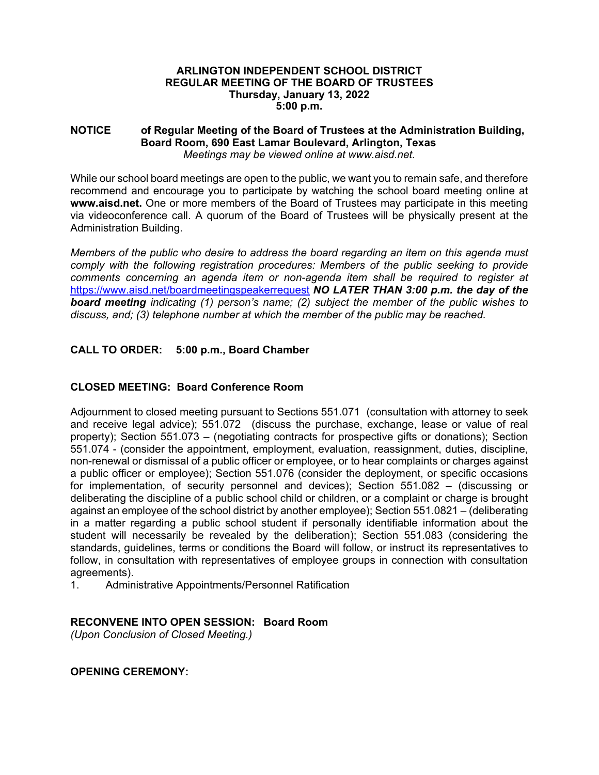### **ARLINGTON INDEPENDENT SCHOOL DISTRICT REGULAR MEETING OF THE BOARD OF TRUSTEES Thursday, January 13, 2022 5:00 p.m.**

#### **NOTICE of Regular Meeting of the Board of Trustees at the Administration Building, Board Room, 690 East Lamar Boulevard, Arlington, Texas**  *Meetings may be viewed online at www.aisd.net.*

While our school board meetings are open to the public, we want you to remain safe, and therefore recommend and encourage you to participate by watching the school board meeting online at **www.aisd.net.** One or more members of the Board of Trustees may participate in this meeting via videoconference call. A quorum of the Board of Trustees will be physically present at the Administration Building.

*Members of the public who desire to address the board regarding an item on this agenda must comply with the following registration procedures: Members of the public seeking to provide comments concerning an agenda item or non-agenda item shall be required to register at*  https://www.aisd.net/boardmeetingspeakerrequest *NO LATER THAN 3:00 p.m. the day of the board meeting indicating (1) person's name; (2) subject the member of the public wishes to discuss, and; (3) telephone number at which the member of the public may be reached.* 

# **CALL TO ORDER: 5:00 p.m., Board Chamber**

# **CLOSED MEETING: Board Conference Room**

Adjournment to closed meeting pursuant to Sections 551.071 (consultation with attorney to seek and receive legal advice); 551.072 (discuss the purchase, exchange, lease or value of real property); Section 551.073 – (negotiating contracts for prospective gifts or donations); Section 551.074 - (consider the appointment, employment, evaluation, reassignment, duties, discipline, non-renewal or dismissal of a public officer or employee, or to hear complaints or charges against a public officer or employee); Section 551.076 (consider the deployment, or specific occasions for implementation, of security personnel and devices); Section 551.082 – (discussing or deliberating the discipline of a public school child or children, or a complaint or charge is brought against an employee of the school district by another employee); Section 551.0821 – (deliberating in a matter regarding a public school student if personally identifiable information about the student will necessarily be revealed by the deliberation); Section 551.083 (considering the standards, guidelines, terms or conditions the Board will follow, or instruct its representatives to follow, in consultation with representatives of employee groups in connection with consultation agreements).

1. Administrative Appointments/Personnel Ratification

# **RECONVENE INTO OPEN SESSION: Board Room**

*(Upon Conclusion of Closed Meeting.)* 

### **OPENING CEREMONY:**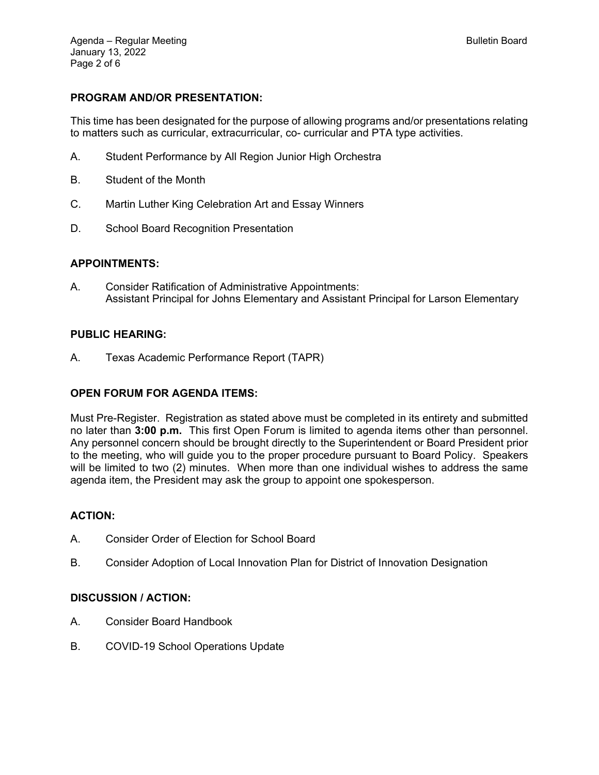# **PROGRAM AND/OR PRESENTATION:**

This time has been designated for the purpose of allowing programs and/or presentations relating to matters such as curricular, extracurricular, co- curricular and PTA type activities.

- A. Student Performance by All Region Junior High Orchestra
- B. Student of the Month
- C. Martin Luther King Celebration Art and Essay Winners
- D. School Board Recognition Presentation

### **APPOINTMENTS:**

A. Consider Ratification of Administrative Appointments: Assistant Principal for Johns Elementary and Assistant Principal for Larson Elementary

### **PUBLIC HEARING:**

A. Texas Academic Performance Report (TAPR)

## **OPEN FORUM FOR AGENDA ITEMS:**

Must Pre-Register. Registration as stated above must be completed in its entirety and submitted no later than **3:00 p.m.** This first Open Forum is limited to agenda items other than personnel. Any personnel concern should be brought directly to the Superintendent or Board President prior to the meeting, who will guide you to the proper procedure pursuant to Board Policy. Speakers will be limited to two (2) minutes. When more than one individual wishes to address the same agenda item, the President may ask the group to appoint one spokesperson.

### **ACTION:**

- A. Consider Order of Election for School Board
- B. Consider Adoption of Local Innovation Plan for District of Innovation Designation

### **DISCUSSION / ACTION:**

- A. Consider Board Handbook
- B. COVID-19 School Operations Update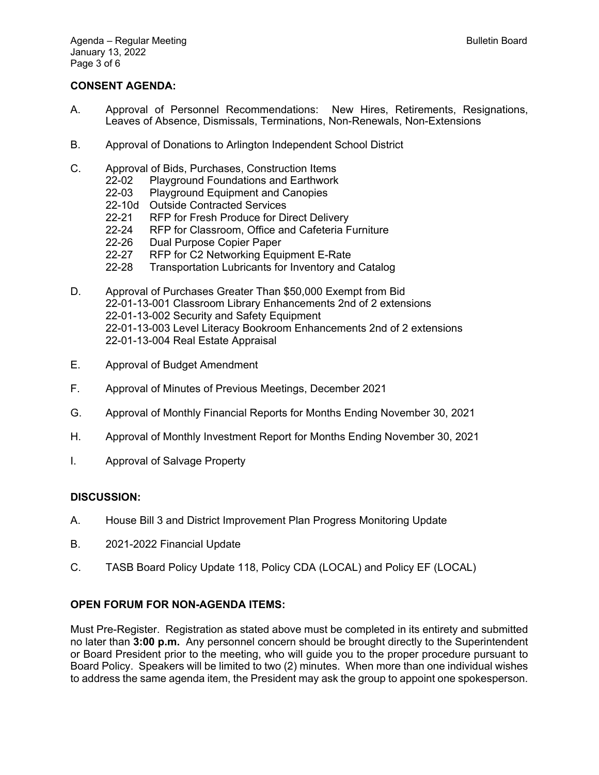## **CONSENT AGENDA:**

- A. Approval of Personnel Recommendations: New Hires, Retirements, Resignations, Leaves of Absence, Dismissals, Terminations, Non-Renewals, Non-Extensions
- B. Approval of Donations to Arlington Independent School District
- C. Approval of Bids, Purchases, Construction Items
	- 22-02 Playground Foundations and Earthwork
	- 22-03 Playground Equipment and Canopies
	- 22-10d Outside Contracted Services
	- 22-21 RFP for Fresh Produce for Direct Delivery
	- 22-24 RFP for Classroom, Office and Cafeteria Furniture<br>22-26 Dual Purpose Copier Paper
	- Dual Purpose Copier Paper
	- 22-27 RFP for C2 Networking Equipment E-Rate
	- 22-28 Transportation Lubricants for Inventory and Catalog
- D. Approval of Purchases Greater Than \$50,000 Exempt from Bid 22-01-13-001 Classroom Library Enhancements 2nd of 2 extensions 22-01-13-002 Security and Safety Equipment 22-01-13-003 Level Literacy Bookroom Enhancements 2nd of 2 extensions 22-01-13-004 Real Estate Appraisal
- E. Approval of Budget Amendment
- F. Approval of Minutes of Previous Meetings, December 2021
- G. Approval of Monthly Financial Reports for Months Ending November 30, 2021
- H. Approval of Monthly Investment Report for Months Ending November 30, 2021
- I. Approval of Salvage Property

#### **DISCUSSION:**

- A. House Bill 3 and District Improvement Plan Progress Monitoring Update
- B. 2021-2022 Financial Update
- C. TASB Board Policy Update 118, Policy CDA (LOCAL) and Policy EF (LOCAL)

### **OPEN FORUM FOR NON-AGENDA ITEMS:**

Must Pre-Register. Registration as stated above must be completed in its entirety and submitted no later than **3:00 p.m.** Any personnel concern should be brought directly to the Superintendent or Board President prior to the meeting, who will guide you to the proper procedure pursuant to Board Policy. Speakers will be limited to two (2) minutes. When more than one individual wishes to address the same agenda item, the President may ask the group to appoint one spokesperson.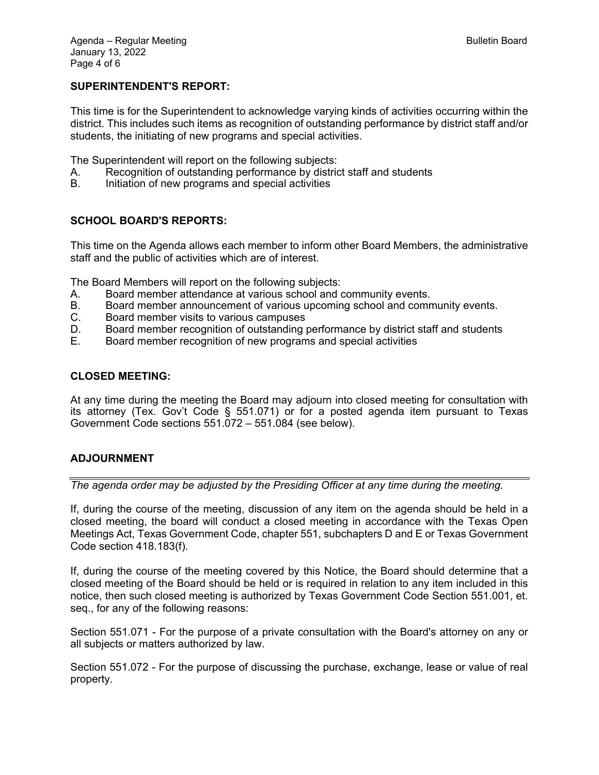## **SUPERINTENDENT'S REPORT:**

This time is for the Superintendent to acknowledge varying kinds of activities occurring within the district. This includes such items as recognition of outstanding performance by district staff and/or students, the initiating of new programs and special activities.

The Superintendent will report on the following subjects:

- A. Recognition of outstanding performance by district staff and students
- B. Initiation of new programs and special activities

## **SCHOOL BOARD'S REPORTS:**

This time on the Agenda allows each member to inform other Board Members, the administrative staff and the public of activities which are of interest.

The Board Members will report on the following subjects:

- A. Board member attendance at various school and community events.
- B. Board member announcement of various upcoming school and community events.
- C. Board member visits to various campuses
- D. Board member recognition of outstanding performance by district staff and students
- E. Board member recognition of new programs and special activities

### **CLOSED MEETING:**

At any time during the meeting the Board may adjourn into closed meeting for consultation with its attorney (Tex. Gov't Code § 551.071) or for a posted agenda item pursuant to Texas Government Code sections 551.072 – 551.084 (see below).

## **ADJOURNMENT**

*The agenda order may be adjusted by the Presiding Officer at any time during the meeting.* 

If, during the course of the meeting, discussion of any item on the agenda should be held in a closed meeting, the board will conduct a closed meeting in accordance with the Texas Open Meetings Act, Texas Government Code, chapter 551, subchapters D and E or Texas Government Code section 418.183(f).

If, during the course of the meeting covered by this Notice, the Board should determine that a closed meeting of the Board should be held or is required in relation to any item included in this notice, then such closed meeting is authorized by Texas Government Code Section 551.001, et. seq., for any of the following reasons:

Section 551.071 - For the purpose of a private consultation with the Board's attorney on any or all subjects or matters authorized by law.

Section 551.072 - For the purpose of discussing the purchase, exchange, lease or value of real property.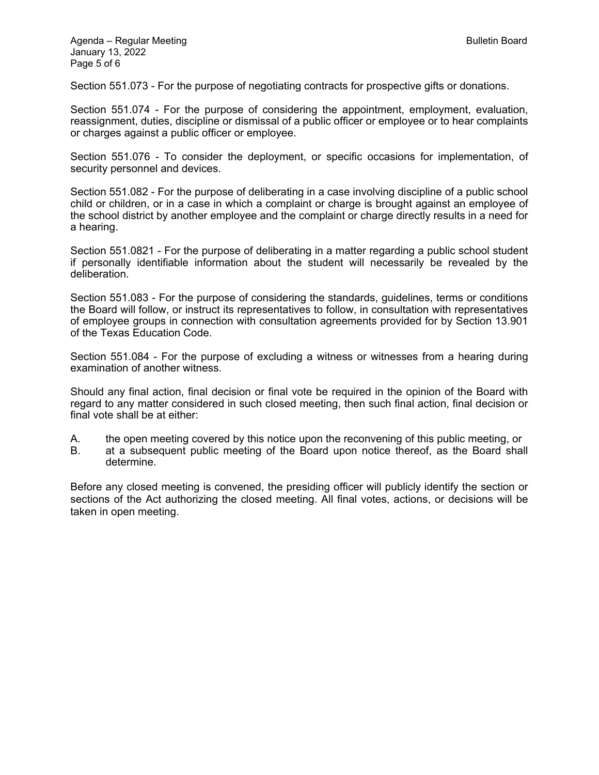Section 551.073 - For the purpose of negotiating contracts for prospective gifts or donations.

Section 551.074 - For the purpose of considering the appointment, employment, evaluation, reassignment, duties, discipline or dismissal of a public officer or employee or to hear complaints or charges against a public officer or employee.

Section 551.076 - To consider the deployment, or specific occasions for implementation, of security personnel and devices.

Section 551.082 - For the purpose of deliberating in a case involving discipline of a public school child or children, or in a case in which a complaint or charge is brought against an employee of the school district by another employee and the complaint or charge directly results in a need for a hearing.

Section 551.0821 - For the purpose of deliberating in a matter regarding a public school student if personally identifiable information about the student will necessarily be revealed by the deliberation.

Section 551.083 - For the purpose of considering the standards, guidelines, terms or conditions the Board will follow, or instruct its representatives to follow, in consultation with representatives of employee groups in connection with consultation agreements provided for by Section 13.901 of the Texas Education Code.

Section 551.084 - For the purpose of excluding a witness or witnesses from a hearing during examination of another witness.

Should any final action, final decision or final vote be required in the opinion of the Board with regard to any matter considered in such closed meeting, then such final action, final decision or final vote shall be at either:

A. the open meeting covered by this notice upon the reconvening of this public meeting, or

B. at a subsequent public meeting of the Board upon notice thereof, as the Board shall determine.

Before any closed meeting is convened, the presiding officer will publicly identify the section or sections of the Act authorizing the closed meeting. All final votes, actions, or decisions will be taken in open meeting.